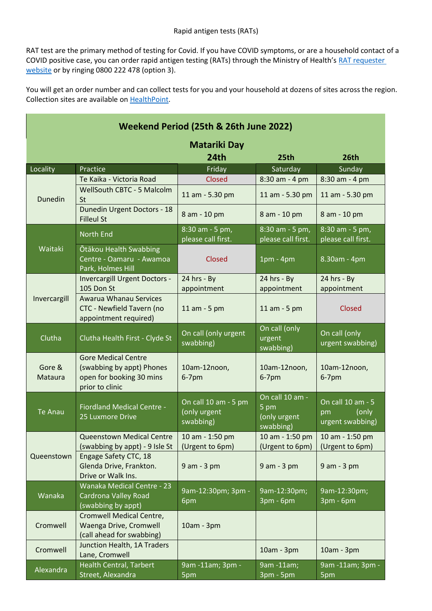RAT test are the primary method of testing for Covid. If you have COVID symptoms, or are a household contact of a COVID positive case, you can order rapid antigen testing (RATs) through the Ministry of Health's [RAT requester](https://aus01.safelinks.protection.outlook.com/?url=https%3A%2F%2Frequestrats.covid19.health.nz%2F&data=04%7C01%7Clisa.win%40wellsouth.org.nz%7C9d8e6ff7f79f4270346d08da023567d5%7Cf4cab298285940c9b7a21c7888ea0f08%7C0%7C0%7C637824725635020798%7CUnknown%7CTWFpbGZsb3d8eyJWIjoiMC4wLjAwMDAiLCJQIjoiV2luMzIiLCJBTiI6Ik1haWwiLCJXVCI6Mn0%3D%7C3000&sdata=7gIH0HL%2FFl9kK1SZDaQZuz2sMqp90FsSLY%2BudqpWmvA%3D&reserved=0)  [website](https://aus01.safelinks.protection.outlook.com/?url=https%3A%2F%2Frequestrats.covid19.health.nz%2F&data=04%7C01%7Clisa.win%40wellsouth.org.nz%7C9d8e6ff7f79f4270346d08da023567d5%7Cf4cab298285940c9b7a21c7888ea0f08%7C0%7C0%7C637824725635020798%7CUnknown%7CTWFpbGZsb3d8eyJWIjoiMC4wLjAwMDAiLCJQIjoiV2luMzIiLCJBTiI6Ik1haWwiLCJXVCI6Mn0%3D%7C3000&sdata=7gIH0HL%2FFl9kK1SZDaQZuz2sMqp90FsSLY%2BudqpWmvA%3D&reserved=0) or by ringing 0800 222 478 (option 3).

You will get an order number and can collect tests for you and your household at dozens of sites across the region. Collection sites are available on [HealthPoint.](https://aus01.safelinks.protection.outlook.com/?url=https%3A%2F%2Fwww.healthpoint.co.nz%2Fcovid-19%2F%3FcovidTesting%3Drats&data=04%7C01%7Clisa.win%40wellsouth.org.nz%7C9d8e6ff7f79f4270346d08da023567d5%7Cf4cab298285940c9b7a21c7888ea0f08%7C0%7C0%7C637824725635020798%7CUnknown%7CTWFpbGZsb3d8eyJWIjoiMC4wLjAwMDAiLCJQIjoiV2luMzIiLCJBTiI6Ik1haWwiLCJXVCI6Mn0%3D%7C3000&sdata=%2FmU%2Byliu8jdycd5dJXAIZOOLtTkvfjDR%2BnlBLPvuFZM%3D&reserved=0)

| Weekend Period (25th & 26th June 2022) |                                                                                                        |                                                   |                                                      |                                                      |  |  |  |
|----------------------------------------|--------------------------------------------------------------------------------------------------------|---------------------------------------------------|------------------------------------------------------|------------------------------------------------------|--|--|--|
| <b>Matariki Day</b>                    |                                                                                                        |                                                   |                                                      |                                                      |  |  |  |
|                                        |                                                                                                        | 24th                                              | 25th                                                 | 26th                                                 |  |  |  |
| Locality                               | Practice                                                                                               | Friday                                            | Saturday                                             | Sunday                                               |  |  |  |
|                                        | Te Kaika - Victoria Road                                                                               | <b>Closed</b>                                     | 8:30 am - 4 pm                                       | 8:30 am - 4 pm                                       |  |  |  |
| Dunedin                                | <b>WellSouth CBTC - 5 Malcolm</b><br><b>St</b>                                                         | 11 am - 5.30 pm                                   | 11 am - 5.30 pm                                      | 11 am - 5.30 pm                                      |  |  |  |
|                                        | <b>Dunedin Urgent Doctors - 18</b><br><b>Filleul St</b>                                                | 8 am - 10 pm                                      | 8 am - 10 pm                                         | 8 am - 10 pm                                         |  |  |  |
| Waitaki                                | <b>North End</b>                                                                                       | 8:30 am - 5 pm,<br>please call first.             | 8:30 am - 5 pm,<br>please call first.                | 8:30 am - 5 pm,<br>please call first.                |  |  |  |
|                                        | Ōtākou Health Swabbing<br>Centre - Oamaru - Awamoa<br>Park, Holmes Hill                                | Closed                                            | $1pm - 4pm$                                          | 8.30am - 4pm                                         |  |  |  |
| Invercargill                           | <b>Invercargill Urgent Doctors -</b><br>105 Don St                                                     | 24 hrs - By<br>appointment                        | $24$ hrs - By<br>appointment                         | $24$ hrs - By<br>appointment                         |  |  |  |
|                                        | Awarua Whanau Services<br>CTC - Newfield Tavern (no<br>appointment required)                           | 11 am - 5 pm                                      | 11 am - 5 pm                                         | <b>Closed</b>                                        |  |  |  |
| Clutha                                 | Clutha Health First - Clyde St                                                                         | On call (only urgent<br>swabbing)                 | On call (only<br>urgent<br>swabbing)                 | On call (only<br>urgent swabbing)                    |  |  |  |
| Gore &<br>Mataura                      | <b>Gore Medical Centre</b><br>(swabbing by appt) Phones<br>open for booking 30 mins<br>prior to clinic | 10am-12noon,<br>$6-7$ pm                          | 10am-12noon,<br>$6-7$ pm                             | 10am-12noon,<br>$6-7$ pm                             |  |  |  |
| <b>Te Anau</b>                         | <b>Fiordland Medical Centre -</b><br>25 Luxmore Drive                                                  | On call 10 am - 5 pm<br>(only urgent<br>swabbing) | On call 10 am -<br>5 pm<br>(only urgent<br>swabbing) | On call 10 am - 5<br>(only<br>pm<br>urgent swabbing) |  |  |  |
| Queenstown                             | Queenstown Medical Centre<br>(swabbing by appt) - 9 Isle St                                            | 10 am - 1:50 pm<br>(Urgent to 6pm)                | 10 am - 1:50 pm<br>(Urgent to 6pm)                   | 10 am - 1:50 pm<br>(Urgent to 6pm)                   |  |  |  |
|                                        | Engage Safety CTC, 18<br>Glenda Drive, Frankton.<br>Drive or Walk Ins.                                 | 9 am - 3 pm                                       | 9 am - 3 pm                                          | $9$ am - $3$ pm                                      |  |  |  |
| Wanaka                                 | Wanaka Medical Centre - 23<br>Cardrona Valley Road<br>(swabbing by appt)                               | 9am-12:30pm; 3pm -<br>6pm                         | 9am-12:30pm;<br>3pm - 6pm                            | 9am-12:30pm;<br>3pm - 6pm                            |  |  |  |
| Cromwell                               | Cromwell Medical Centre,<br>Waenga Drive, Cromwell<br>(call ahead for swabbing)                        | 10am - 3pm                                        |                                                      |                                                      |  |  |  |
| Cromwell                               | Junction Health, 1A Traders<br>Lane, Cromwell                                                          |                                                   | 10am - 3pm                                           | 10am - 3pm                                           |  |  |  |
| Alexandra                              | Health Central, Tarbert<br>Street, Alexandra                                                           | 9am -11am; 3pm -<br>5pm                           | 9am -11am;<br>3pm - 5pm                              | 9am -11am; 3pm -<br>5pm                              |  |  |  |